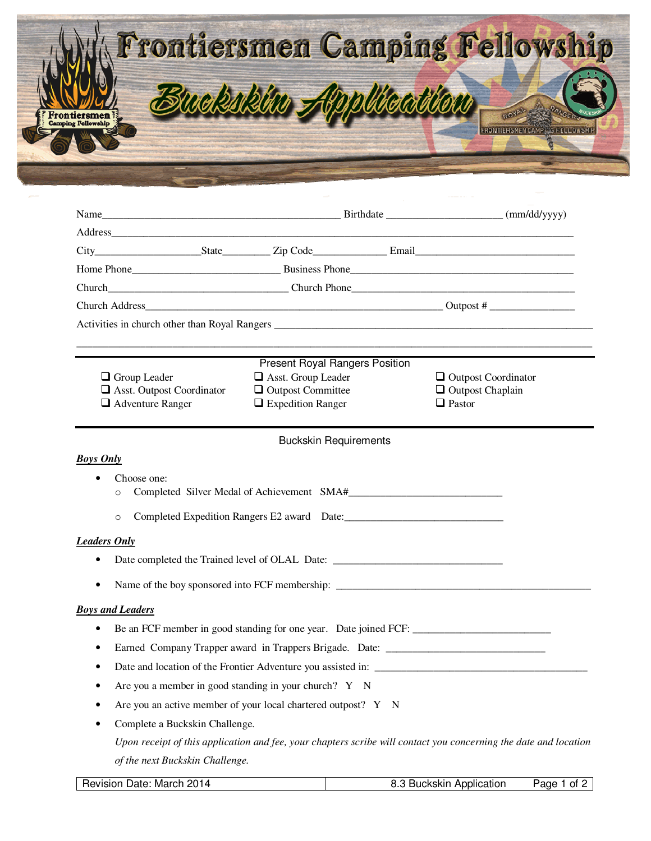|              | Frontiersmen Camping Fellowship |
|--------------|---------------------------------|
| Frontiersmen | wekskim Application             |
|              |                                 |

|                         |                                                                                                                                                     | Present Royal Rangers Position                 |  |                                                       |  |  |
|-------------------------|-----------------------------------------------------------------------------------------------------------------------------------------------------|------------------------------------------------|--|-------------------------------------------------------|--|--|
|                         | $\Box$ Group Leader<br>$\Box$ Asst. Outpost Coordinator                                                                                             | Asst. Group Leader<br>$\Box$ Outpost Committee |  | $\Box$ Outpost Coordinator<br>$\Box$ Outpost Chaplain |  |  |
|                         | $\Box$ Adventure Ranger                                                                                                                             | $\Box$ Expedition Ranger                       |  | $\Box$ Pastor                                         |  |  |
|                         |                                                                                                                                                     |                                                |  |                                                       |  |  |
|                         |                                                                                                                                                     | <b>Buckskin Requirements</b>                   |  |                                                       |  |  |
| <b>Boys Only</b>        |                                                                                                                                                     |                                                |  |                                                       |  |  |
|                         | Choose one:                                                                                                                                         |                                                |  |                                                       |  |  |
| $\circ$                 |                                                                                                                                                     |                                                |  |                                                       |  |  |
|                         | $\circ$                                                                                                                                             |                                                |  |                                                       |  |  |
| <b>Leaders Only</b>     |                                                                                                                                                     |                                                |  |                                                       |  |  |
|                         |                                                                                                                                                     |                                                |  |                                                       |  |  |
|                         | Name of the boy sponsored into FCF membership: __________________________________                                                                   |                                                |  |                                                       |  |  |
| <b>Boys and Leaders</b> |                                                                                                                                                     |                                                |  |                                                       |  |  |
| ٠                       |                                                                                                                                                     |                                                |  |                                                       |  |  |
|                         | Earned Company Trapper award in Trappers Brigade. Date: _________________________                                                                   |                                                |  |                                                       |  |  |
|                         |                                                                                                                                                     |                                                |  |                                                       |  |  |
|                         | Are you a member in good standing in your church? Y N                                                                                               |                                                |  |                                                       |  |  |
|                         | Are you an active member of your local chartered outpost? Y N                                                                                       |                                                |  |                                                       |  |  |
|                         | Complete a Buckskin Challenge.                                                                                                                      |                                                |  |                                                       |  |  |
|                         |                                                                                                                                                     |                                                |  |                                                       |  |  |
|                         | Upon receipt of this application and fee, your chapters scribe will contact you concerning the date and location<br>of the next Buckskin Challenge. |                                                |  |                                                       |  |  |
|                         |                                                                                                                                                     |                                                |  |                                                       |  |  |

Revision Date: March 2014 8.3 Buckskin Application Page 1 of 2